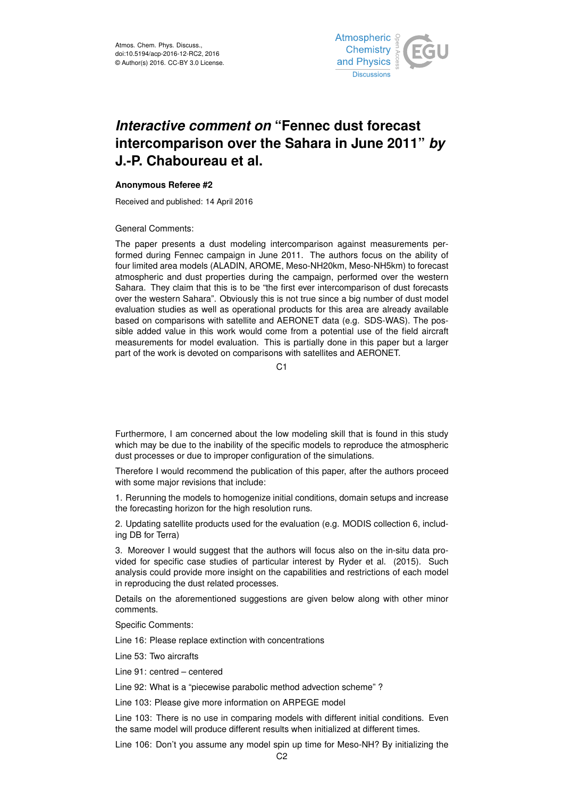

## *Interactive comment on* **"Fennec dust forecast intercomparison over the Sahara in June 2011"** *by* **J.-P. Chaboureau et al.**

## **Anonymous Referee #2**

Received and published: 14 April 2016

General Comments:

The paper presents a dust modeling intercomparison against measurements performed during Fennec campaign in June 2011. The authors focus on the ability of four limited area models (ALADIN, AROME, Meso-NH20km, Meso-NH5km) to forecast atmospheric and dust properties during the campaign, performed over the western Sahara. They claim that this is to be "the first ever intercomparison of dust forecasts over the western Sahara". Obviously this is not true since a big number of dust model evaluation studies as well as operational products for this area are already available based on comparisons with satellite and AERONET data (e.g. SDS-WAS). The possible added value in this work would come from a potential use of the field aircraft measurements for model evaluation. This is partially done in this paper but a larger part of the work is devoted on comparisons with satellites and AERONET.

 $C<sub>1</sub>$ 

Furthermore, I am concerned about the low modeling skill that is found in this study which may be due to the inability of the specific models to reproduce the atmospheric dust processes or due to improper configuration of the simulations.

Therefore I would recommend the publication of this paper, after the authors proceed with some major revisions that include:

1. Rerunning the models to homogenize initial conditions, domain setups and increase the forecasting horizon for the high resolution runs.

2. Updating satellite products used for the evaluation (e.g. MODIS collection 6, including DB for Terra)

3. Moreover I would suggest that the authors will focus also on the in-situ data provided for specific case studies of particular interest by Ryder et al. (2015). Such analysis could provide more insight on the capabilities and restrictions of each model in reproducing the dust related processes.

Details on the aforementioned suggestions are given below along with other minor comments.

Specific Comments:

Line 16: Please replace extinction with concentrations

Line 53: Two aircrafts

Line 91: centred – centered

Line 92: What is a "piecewise parabolic method advection scheme" ?

Line 103: Please give more information on ARPEGE model

Line 103: There is no use in comparing models with different initial conditions. Even the same model will produce different results when initialized at different times.

Line 106: Don't you assume any model spin up time for Meso-NH? By initializing the